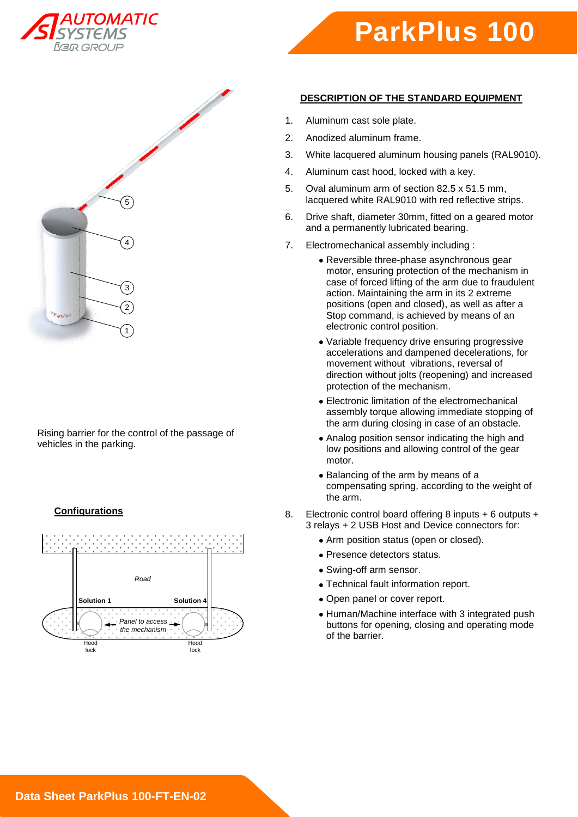





Rising barrier for the control of the passage of vehicles in the parking.

# **Configurations**



## **DESCRIPTION OF THE STANDARD EQUIPMENT**

- 1. Aluminum cast sole plate.
- 2. Anodized aluminum frame.
- 3. White lacquered aluminum housing panels (RAL9010).
- 4. Aluminum cast hood, locked with a key.
- 5. Oval aluminum arm of section 82.5 x 51.5 mm, lacquered white RAL9010 with red reflective strips.
- 6. Drive shaft, diameter 30mm, fitted on a geared motor and a permanently lubricated bearing.
- 7. Electromechanical assembly including :
	- Reversible three-phase asynchronous gear motor, ensuring protection of the mechanism in case of forced lifting of the arm due to fraudulent action. Maintaining the arm in its 2 extreme positions (open and closed), as well as after a Stop command, is achieved by means of an electronic control position.
	- Variable frequency drive ensuring progressive accelerations and dampened decelerations, for movement without vibrations, reversal of direction without jolts (reopening) and increased protection of the mechanism.
	- Electronic limitation of the electromechanical assembly torque allowing immediate stopping of the arm during closing in case of an obstacle.
	- Analog position sensor indicating the high and low positions and allowing control of the gear motor.
	- Balancing of the arm by means of a compensating spring, according to the weight of the arm.
- 8. Electronic control board offering 8 inputs + 6 outputs + 3 relays + 2 USB Host and Device connectors for:
	- Arm position status (open or closed).
	- Presence detectors status.
	- Swing-off arm sensor.
	- Technical fault information report.
	- Open panel or cover report.
	- Human/Machine interface with 3 integrated push buttons for opening, closing and operating mode of the barrier.